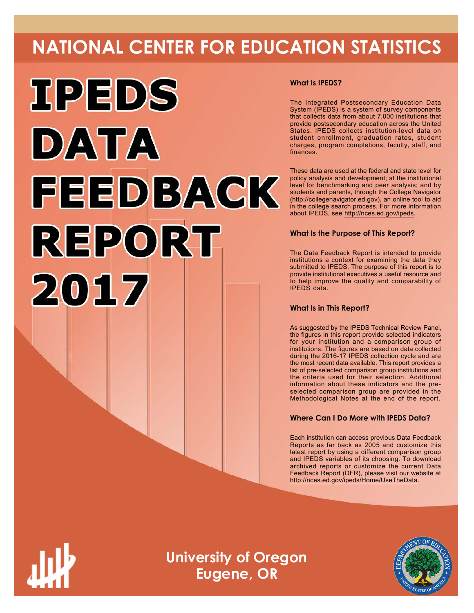# **NATIONAL CENTER FOR EDUCATION STATISTICS**



#### **What Is IPEDS?**

The Integrated Postsecondary Education Data System (IPEDS) is a system of survey components that collects data from about 7,000 institutions that provide postsecondary education across the United States. IPEDS collects institution-level data on student enrollment, graduation rates, student charges, program completions, faculty, staff, and finances.

These data are used at the federal and state level for policy analysis and development; at the institutional level for benchmarking and peer analysis; and by students and parents, through the College Navigator ([http://collegenavigator.ed.gov\)](http://collegenavigator.ed.gov), an online tool to aid in the college search process. For more information about IPEDS, see [http://nces.ed.gov/ipeds.](http://nces.ed.gov/ipeds)

#### **What Is the Purpose of This Report?**

The Data Feedback Report is intended to provide institutions a context for examining the data they submitted to IPEDS. The purpose of this report is to provide institutional executives a useful resource and to help improve the quality and comparability of IPEDS data.

#### **What Is in This Report?**

As suggested by the IPEDS Technical Review Panel, the figures in this report provide selected indicators for your institution and a comparison group of institutions. The figures are based on data collected during the 2016-17 IPEDS collection cycle and are the most recent data available. This report provides a list of pre-selected comparison group institutions and the criteria used for their selection. Additional information about these indicators and the preselected comparison group are provided in the Methodological Notes at the end of the report.

#### **Where Can I Do More with IPEDS Data?**

Each institution can access previous Data Feedback Reports as far back as 2005 and customize this latest report by using a different comparison group and IPEDS variables of its choosing. To download archived reports or customize the current Data Feedback Report (DFR), please visit our website at <http://nces.ed.gov/ipeds/Home/UseTheData>.



**University of Oregon Eugene, OR**

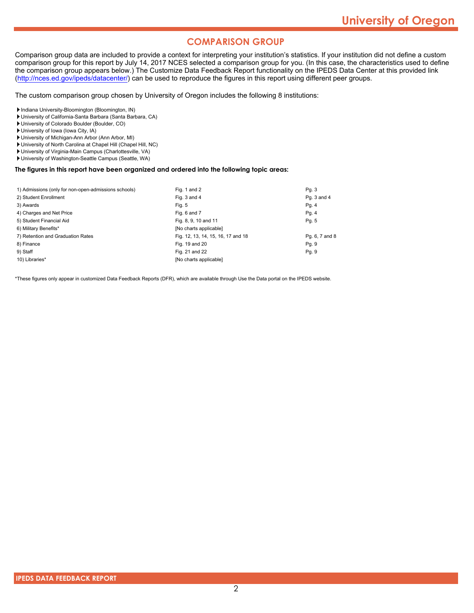#### **COMPARISON GROUP**

Comparison group data are included to provide a context for interpreting your institution's statistics. If your institution did not define a custom comparison group for this report by July 14, 2017 NCES selected a comparison group for you. (In this case, the characteristics used to define the comparison group appears below.) The Customize Data Feedback Report functionality on the IPEDS Data Center at this provided link [\(http://nces.ed.gov/ipeds/datacenter/\)](http://nces.ed.gov/ipeds/datacenter/) can be used to reproduce the figures in this report using different peer groups.

The custom comparison group chosen by University of Oregon includes the following 8 institutions:

Indiana University-Bloomington (Bloomington, IN)

- University of California-Santa Barbara (Santa Barbara, CA)
- University of Colorado Boulder (Boulder, CO)
- University of Iowa (Iowa City, IA)
- University of Michigan-Ann Arbor (Ann Arbor, MI)
- University of North Carolina at Chapel Hill (Chapel Hill, NC)
- University of Virginia-Main Campus (Charlottesville, VA)
- University of Washington-Seattle Campus (Seattle, WA)

#### **The figures in this report have been organized and ordered into the following topic areas:**

| 1) Admissions (only for non-open-admissions schools) | Fig. 1 and 2                       | Pg. 3          |
|------------------------------------------------------|------------------------------------|----------------|
| 2) Student Enrollment                                | Fig. 3 and 4                       | Pq. 3 and 4    |
| 3) Awards                                            | Fig. 5                             | Pg. 4          |
| 4) Charges and Net Price                             | Fig. 6 and 7                       | Pg.4           |
| 5) Student Financial Aid                             | Fig. 8, 9, 10 and 11               | Pg. 5          |
| 6) Military Benefits*                                | [No charts applicable]             |                |
| 7) Retention and Graduation Rates                    | Fig. 12, 13, 14, 15, 16, 17 and 18 | Pg. 6, 7 and 8 |
| 8) Finance                                           | Fig. 19 and 20                     | Pq. 9          |
| 9) Staff                                             | Fig. 21 and 22                     | Pg. 9          |
| 10) Libraries*                                       | [No charts applicable]             |                |

\*These figures only appear in customized Data Feedback Reports (DFR), which are available through Use the Data portal on the IPEDS website.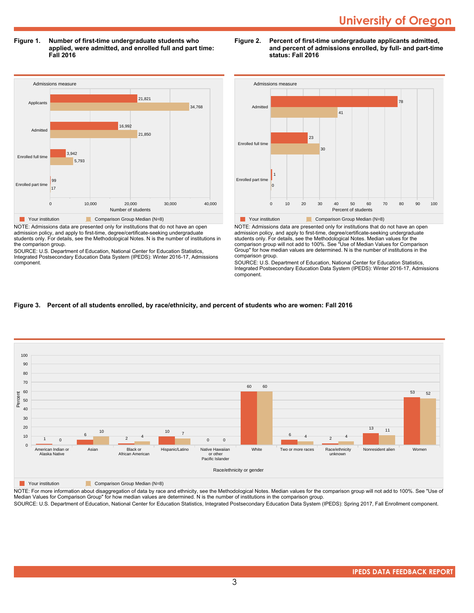**Figure 1. Number of first-time undergraduate students who applied, were admitted, and enrolled full and part time: Fall 2016**



NOTE: Admissions data are presented only for institutions that do not have an open admission policy, and apply to first-time, degree/certificate-seeking undergraduate students only. For details, see the Methodological Notes. N is the number of institutions in the comparison group.

SOURCE: U.S. Department of Education, National Center for Education Statistics, Integrated Postsecondary Education Data System (IPEDS): Winter 2016-17, Admissions component.

#### **Figure 2. Percent of first-time undergraduate applicants admitted, and percent of admissions enrolled, by full- and part-time status: Fall 2016**



NOTE: Admissions data are presented only for institutions that do not have an open admission policy, and apply to first-time, degree/certificate-seeking undergraduate students only. For details, see the Methodological Notes. Median values for the comparison group will not add to 100%. See "Use of Median Values for Comparison Group" for how median values are determined. N is the number of institutions in the comparison group.

SOURCE: U.S. Department of Education, National Center for Education Statistics, Integrated Postsecondary Education Data System (IPEDS): Winter 2016-17, Admissions component.

#### **Figure 3. Percent of all students enrolled, by race/ethnicity, and percent of students who are women: Fall 2016**



**The Comparison Group Median (N=8)** Comparison Group Median (N=8)

NOTE: For more information about disaggregation of data by race and ethnicity, see the Methodological Notes. Median values for the comparison group will not add to 100%. See "Use of Median Values for Comparison Group" for how median values are determined. N is the number of institutions in the comparison group.

SOURCE: U.S. Department of Education, National Center for Education Statistics, Integrated Postsecondary Education Data System (IPEDS): Spring 2017, Fall Enrollment component.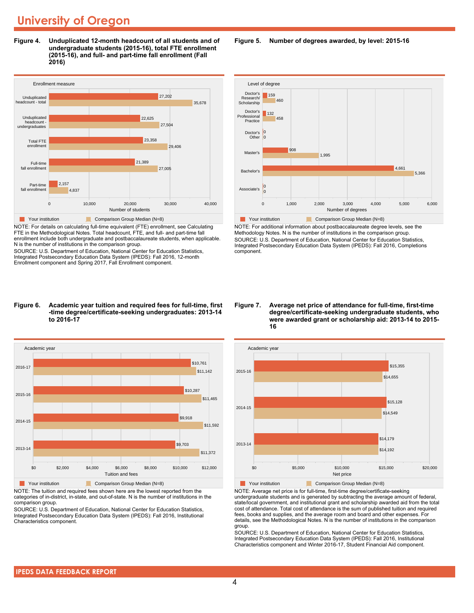**Figure 4. Unduplicated 12-month headcount of all students and of undergraduate students (2015-16), total FTE enrollment (2015-16), and full- and part-time fall enrollment (Fall 2016)**



NOTE: For details on calculating full-time equivalent (FTE) enrollment, see Calculating FTE in the Methodological Notes. Total headcount, FTE, and full- and part-time fall enrollment include both undergraduate and postbaccalaureate students, when applicable. N is the number of institutions in the comparison group.

SOURCE: U.S. Department of Education, National Center for Education Statistics, Integrated Postsecondary Education Data System (IPEDS): Fall 2016, 12-month Enrollment component and Spring 2017, Fall Enrollment component.

**Figure 5. Number of degrees awarded, by level: 2015-16**



NOTE: For additional information about postbaccalaureate degree levels, see the Methodology Notes. N is the number of institutions in the comparison group. SOURCE: U.S. Department of Education, National Center for Education Statistics, Integrated Postsecondary Education Data System (IPEDS): Fall 2016, Completions component.

#### **Figure 6. Academic year tuition and required fees for full-time, first -time degree/certificate-seeking undergraduates: 2013-14 to 2016-17**



NOTE: The tuition and required fees shown here are the lowest reported from the categories of in-district, in-state, and out-of-state. N is the number of institutions in the comparison group.

SOURCE: U.S. Department of Education, National Center for Education Statistics, Integrated Postsecondary Education Data System (IPEDS): Fall 2016, Institutional Characteristics component.

#### **Figure 7. Average net price of attendance for full-time, first-time degree/certificate-seeking undergraduate students, who were awarded grant or scholarship aid: 2013-14 to 2015- 16**



NOTE: Average net price is for full-time, first-time degree/certificate-seeking undergraduate students and is generated by subtracting the average amount of federal, state/local government, and institutional grant and scholarship awarded aid from the total cost of attendance. Total cost of attendance is the sum of published tuition and required fees, books and supplies, and the average room and board and other expenses. For details, see the Methodological Notes. N is the number of institutions in the comparison group.

SOURCE: U.S. Department of Education, National Center for Education Statistics, Integrated Postsecondary Education Data System (IPEDS): Fall 2016, Institutional Characteristics component and Winter 2016-17, Student Financial Aid component.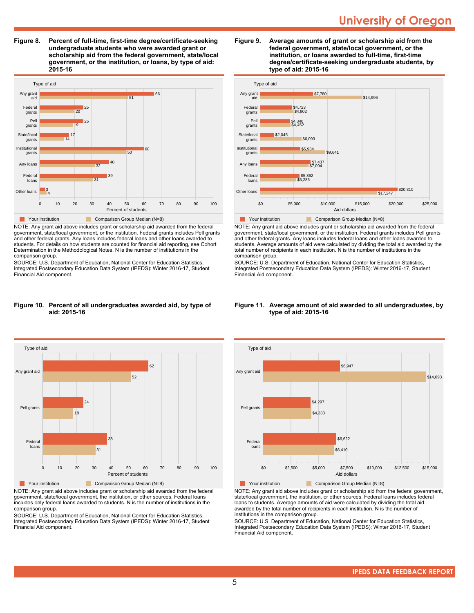**Figure 8. Percent of full-time, first-time degree/certificate-seeking undergraduate students who were awarded grant or scholarship aid from the federal government, state/local government, or the institution, or loans, by type of aid: 2015-16**



NOTE: Any grant aid above includes grant or scholarship aid awarded from the federal government, state/local government, or the institution. Federal grants includes Pell grants and other federal grants. Any loans includes federal loans and other loans awarded to students. For details on how students are counted for financial aid reporting, see Cohort Determination in the Methodological Notes. N is the number of institutions in the comparison group.

SOURCE: U.S. Department of Education, National Center for Education Statistics, Integrated Postsecondary Education Data System (IPEDS): Winter 2016-17, Student Financial Aid component.

#### **Figure 10. Percent of all undergraduates awarded aid, by type of aid: 2015-16**



NOTE: Any grant aid above includes grant or scholarship aid awarded from the federal government, state/local government, the institution, or other sources. Federal loans includes only federal loans awarded to students. N is the number of institutions in the comparison group.

SOURCE: U.S. Department of Education, National Center for Education Statistics, Integrated Postsecondary Education Data System (IPEDS): Winter 2016-17, Student Financial Aid component.





NOTE: Any grant aid above includes grant or scholarship aid awarded from the federal government, state/local government, or the institution. Federal grants includes Pell grants and other federal grants. Any loans includes federal loans and other loans awarded to students. Average amounts of aid were calculated by dividing the total aid awarded by the total number of recipients in each institution. N is the number of institutions in the comparison group.

SOURCE: U.S. Department of Education, National Center for Education Statistics, Integrated Postsecondary Education Data System (IPEDS): Winter 2016-17, Student Financial Aid component.

#### **Figure 11. Average amount of aid awarded to all undergraduates, by type of aid: 2015-16**



NOTE: Any grant aid above includes grant or scholarship aid from the federal government, state/local government, the institution, or other sources. Federal loans includes federal loans to students. Average amounts of aid were calculated by dividing the total aid awarded by the total number of recipients in each institution. N is the number of institutions in the comparison group.

SOURCE: U.S. Department of Education, National Center for Education Statistics, Integrated Postsecondary Education Data System (IPEDS): Winter 2016-17, Student Financial Aid component.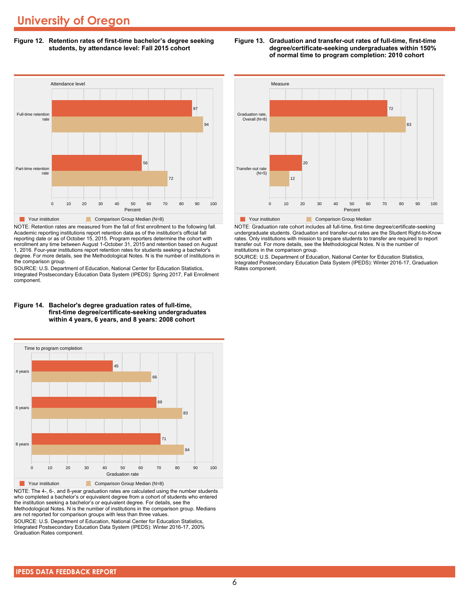**Figure 12. Retention rates of first-time bachelor's degree seeking students, by attendance level: Fall 2015 cohort**



NOTE: Retention rates are measured from the fall of first enrollment to the following fall. Academic reporting institutions report retention data as of the institution's official fall reporting date or as of October 15, 2015. Program reporters determine the cohort with enrollment any time between August 1-October 31, 2015 and retention based on August 1, 2016. Four-year institutions report retention rates for students seeking a bachelor's degree. For more details, see the Methodological Notes. N is the number of institutions in the comparison group.

SOURCE: U.S. Department of Education, National Center for Education Statistics, Integrated Postsecondary Education Data System (IPEDS): Spring 2017, Fall Enrollment component.

#### **Figure 14. Bachelor's degree graduation rates of full-time, first-time degree/certificate-seeking undergraduates within 4 years, 6 years, and 8 years: 2008 cohort**



NOTE: The 4-, 6-, and 8-year graduation rates are calculated using the number students who completed a bachelor's or equivalent degree from a cohort of students who entered the institution seeking a bachelor's or equivalent degree. For details, see the Methodological Notes. N is the number of institutions in the comparison group. Medians are not reported for comparison groups with less than three values.

SOURCE: U.S. Department of Education, National Center for Education Statistics, Integrated Postsecondary Education Data System (IPEDS): Winter 2016-17, 200% Graduation Rates component.



NOTE: Graduation rate cohort includes all full-time, first-time degree/certificate-seeking undergraduate students. Graduation and transfer-out rates are the Student Right-to-Know rates. Only institutions with mission to prepare students to transfer are required to report transfer out. For more details, see the Methodological Notes. N is the number of institutions in the comparison group.

SOURCE: U.S. Department of Education, National Center for Education Statistics, Integrated Postsecondary Education Data System (IPEDS): Winter 2016-17, Graduation Rates component.

#### **IPEDS DATA FEEDBACK REPORT**

#### **Figure 13. Graduation and transfer-out rates of full-time, first-time degree/certificate-seeking undergraduates within 150% of normal time to program completion: 2010 cohort**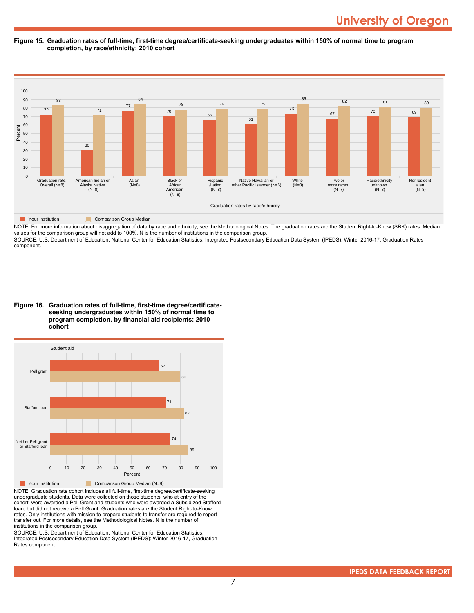**Figure 15. Graduation rates of full-time, first-time degree/certificate-seeking undergraduates within 150% of normal time to program completion, by race/ethnicity: 2010 cohort**



NOTE: For more information about disaggregation of data by race and ethnicity, see the Methodological Notes. The graduation rates are the Student Right-to-Know (SRK) rates. Median values for the comparison group will not add to 100%. N is the number of institutions in the comparison group.

SOURCE: U.S. Department of Education, National Center for Education Statistics, Integrated Postsecondary Education Data System (IPEDS): Winter 2016-17, Graduation Rates component.

**Figure 16. Graduation rates of full-time, first-time degree/certificateseeking undergraduates within 150% of normal time to program completion, by financial aid recipients: 2010 cohort**



NOTE: Graduation rate cohort includes all full-time, first-time degree/certificate-seeking undergraduate students. Data were collected on those students, who at entry of the cohort, were awarded a Pell Grant and students who were awarded a Subsidized Stafford loan, but did not receive a Pell Grant. Graduation rates are the Student Right-to-Know rates. Only institutions with mission to prepare students to transfer are required to report transfer out. For more details, see the Methodological Notes. N is the number of institutions in the comparison group.

SOURCE: U.S. Department of Education, National Center for Education Statistics, Integrated Postsecondary Education Data System (IPEDS): Winter 2016-17, Graduation Rates component.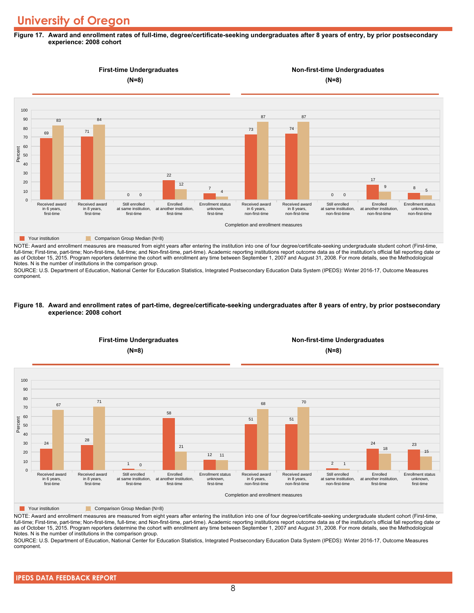#### **Figure 17. Award and enrollment rates of full-time, degree/certificate-seeking undergraduates after 8 years of entry, by prior postsecondary experience: 2008 cohort**



NOTE: Award and enrollment measures are measured from eight years after entering the institution into one of four degree/certificate-seeking undergraduate student cohort (First-time, full-time; First-time, part-time; Non-first-time, full-time; and Non-first-time, part-time). Academic reporting institutions report outcome data as of the institution's official fall reporting date or as of October 15, 2015. Program reporters determine the cohort with enrollment any time between September 1, 2007 and August 31, 2008. For more details, see the Methodological Notes. N is the number of institutions in the comparison group.

SOURCE: U.S. Department of Education, National Center for Education Statistics, Integrated Postsecondary Education Data System (IPEDS): Winter 2016-17, Outcome Measures component.

#### **Figure 18. Award and enrollment rates of part-time, degree/certificate-seeking undergraduates after 8 years of entry, by prior postsecondary experience: 2008 cohort**



NOTE: Award and enrollment measures are measured from eight years after entering the institution into one of four degree/certificate-seeking undergraduate student cohort (First-time, full-time; First-time, part-time; Non-first-time, full-time; and Non-first-time, part-time). Academic reporting institutions report outcome data as of the institution's official fall reporting date or as of October 15, 2015. Program reporters determine the cohort with enrollment any time between September 1, 2007 and August 31, 2008. For more details, see the Methodological Notes. N is the number of institutions in the comparison group.

SOURCE: U.S. Department of Education, National Center for Education Statistics, Integrated Postsecondary Education Data System (IPEDS): Winter 2016-17, Outcome Measures component.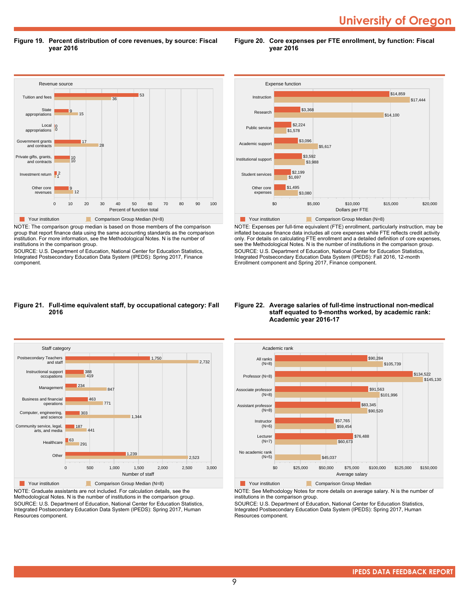**University of Oregon** 

**Figure 19. Percent distribution of core revenues, by source: Fiscal year 2016**

**Figure 20. Core expenses per FTE enrollment, by function: Fiscal year 2016**



NOTE: The comparison group median is based on those members of the comparison group that report finance data using the same accounting standards as the comparison institution. For more information, see the Methodological Notes. N is the number of institutions in the comparison group.

SOURCE: U.S. Department of Education, National Center for Education Statistics, Integrated Postsecondary Education Data System (IPEDS): Spring 2017, Finance component.



NOTE: Expenses per full-time equivalent (FTE) enrollment, particularly instruction, may be inflated because finance data includes all core expenses while FTE reflects credit activity only. For details on calculating FTE enrollment and a detailed definition of core expenses, see the Methodological Notes. N is the number of institutions in the comparison group. SOURCE: U.S. Department of Education, National Center for Education Statistics, Integrated Postsecondary Education Data System (IPEDS): Fall 2016, 12-month Enrollment component and Spring 2017, Finance component.

#### **Figure 21. Full-time equivalent staff, by occupational category: Fall 2016**



NOTE: Graduate assistants are not included. For calculation details, see the Methodological Notes. N is the number of institutions in the comparison group. SOURCE: U.S. Department of Education, National Center for Education Statistics, Integrated Postsecondary Education Data System (IPEDS): Spring 2017, Human Resources component.

#### **Figure 22. Average salaries of full-time instructional non-medical staff equated to 9-months worked, by academic rank: Academic year 2016-17**



**The Comparison Group Median**<br> **Comparison Group Median** 

NOTE: See Methodology Notes for more details on average salary. N is the number of institutions in the comparison group.

SOURCE: U.S. Department of Education, National Center for Education Statistics, Integrated Postsecondary Education Data System (IPEDS): Spring 2017, Human Resources component.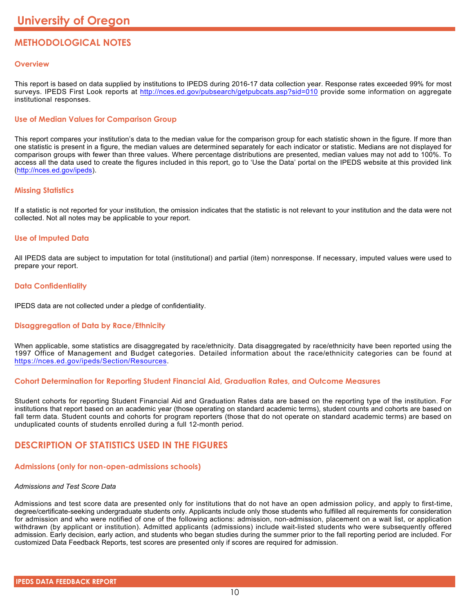### **METHODOLOGICAL NOTES**

#### **Overview**

This report is based on data supplied by institutions to IPEDS during 2016-17 data collection year. Response rates exceeded 99% for most surveys. IPEDS First Look reports at <http://nces.ed.gov/pubsearch/getpubcats.asp?sid=010> provide some information on aggregate institutional responses.

#### **Use of Median Values for Comparison Group**

This report compares your institution's data to the median value for the comparison group for each statistic shown in the figure. If more than one statistic is present in a figure, the median values are determined separately for each indicator or statistic. Medians are not displayed for comparison groups with fewer than three values. Where percentage distributions are presented, median values may not add to 100%. To access all the data used to create the figures included in this report, go to 'Use the Data' portal on the IPEDS website at this provided link (<http://nces.ed.gov/ipeds>).

#### **Missing Statistics**

If a statistic is not reported for your institution, the omission indicates that the statistic is not relevant to your institution and the data were not collected. Not all notes may be applicable to your report.

#### **Use of Imputed Data**

All IPEDS data are subject to imputation for total (institutional) and partial (item) nonresponse. If necessary, imputed values were used to prepare your report.

#### **Data Confidentiality**

IPEDS data are not collected under a pledge of confidentiality.

#### **Disaggregation of Data by Race/Ethnicity**

When applicable, some statistics are disaggregated by race/ethnicity. Data disaggregated by race/ethnicity have been reported using the 1997 Office of Management and Budget categories. Detailed information about the race/ethnicity categories can be found at <https://nces.ed.gov/ipeds/Section/Resources>.

#### **Cohort Determination for Reporting Student Financial Aid, Graduation Rates, and Outcome Measures**

Student cohorts for reporting Student Financial Aid and Graduation Rates data are based on the reporting type of the institution. For institutions that report based on an academic year (those operating on standard academic terms), student counts and cohorts are based on fall term data. Student counts and cohorts for program reporters (those that do not operate on standard academic terms) are based on unduplicated counts of students enrolled during a full 12-month period.

#### **DESCRIPTION OF STATISTICS USED IN THE FIGURES**

#### **Admissions (only for non-open-admissions schools)**

#### *Admissions and Test Score Data*

Admissions and test score data are presented only for institutions that do not have an open admission policy, and apply to first-time, degree/certificate-seeking undergraduate students only. Applicants include only those students who fulfilled all requirements for consideration for admission and who were notified of one of the following actions: admission, non-admission, placement on a wait list, or application withdrawn (by applicant or institution). Admitted applicants (admissions) include wait-listed students who were subsequently offered admission. Early decision, early action, and students who began studies during the summer prior to the fall reporting period are included. For customized Data Feedback Reports, test scores are presented only if scores are required for admission.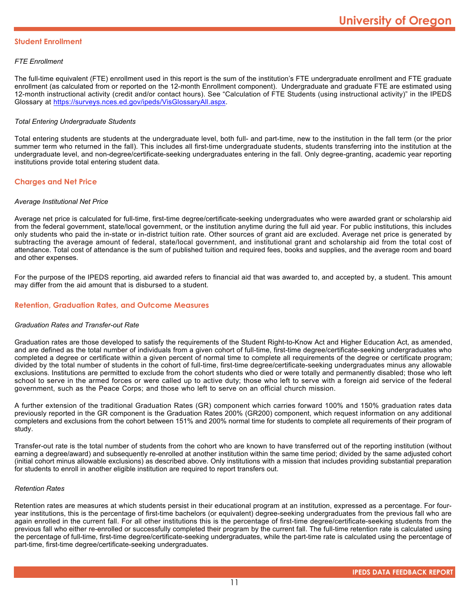#### **Student Enrollment**

#### *FTE Enrollment*

The full-time equivalent (FTE) enrollment used in this report is the sum of the institution's FTE undergraduate enrollment and FTE graduate enrollment (as calculated from or reported on the 12-month Enrollment component). Undergraduate and graduate FTE are estimated using 12-month instructional activity (credit and/or contact hours). See "Calculation of FTE Students (using instructional activity)" in the IPEDS Glossary at <https://surveys.nces.ed.gov/ipeds/VisGlossaryAll.aspx>.

#### *Total Entering Undergraduate Students*

Total entering students are students at the undergraduate level, both full- and part-time, new to the institution in the fall term (or the prior summer term who returned in the fall). This includes all first-time undergraduate students, students transferring into the institution at the undergraduate level, and non-degree/certificate-seeking undergraduates entering in the fall. Only degree-granting, academic year reporting institutions provide total entering student data.

#### **Charges and Net Price**

#### *Average Institutional Net Price*

Average net price is calculated for full-time, first-time degree/certificate-seeking undergraduates who were awarded grant or scholarship aid from the federal government, state/local government, or the institution anytime during the full aid year. For public institutions, this includes only students who paid the in-state or in-district tuition rate. Other sources of grant aid are excluded. Average net price is generated by subtracting the average amount of federal, state/local government, and institutional grant and scholarship aid from the total cost of attendance. Total cost of attendance is the sum of published tuition and required fees, books and supplies, and the average room and board and other expenses.

For the purpose of the IPEDS reporting, aid awarded refers to financial aid that was awarded to, and accepted by, a student. This amount may differ from the aid amount that is disbursed to a student.

#### **Retention, Graduation Rates, and Outcome Measures**

#### *Graduation Rates and Transfer-out Rate*

Graduation rates are those developed to satisfy the requirements of the Student Right-to-Know Act and Higher Education Act, as amended, and are defined as the total number of individuals from a given cohort of full-time, first-time degree/certificate-seeking undergraduates who completed a degree or certificate within a given percent of normal time to complete all requirements of the degree or certificate program; divided by the total number of students in the cohort of full-time, first-time degree/certificate-seeking undergraduates minus any allowable exclusions. Institutions are permitted to exclude from the cohort students who died or were totally and permanently disabled; those who left school to serve in the armed forces or were called up to active duty; those who left to serve with a foreign aid service of the federal government, such as the Peace Corps; and those who left to serve on an official church mission.

A further extension of the traditional Graduation Rates (GR) component which carries forward 100% and 150% graduation rates data previously reported in the GR component is the Graduation Rates 200% (GR200) component, which request information on any additional completers and exclusions from the cohort between 151% and 200% normal time for students to complete all requirements of their program of study.

Transfer-out rate is the total number of students from the cohort who are known to have transferred out of the reporting institution (without earning a degree/award) and subsequently re-enrolled at another institution within the same time period; divided by the same adjusted cohort (initial cohort minus allowable exclusions) as described above. Only institutions with a mission that includes providing substantial preparation for students to enroll in another eligible institution are required to report transfers out.

#### *Retention Rates*

Retention rates are measures at which students persist in their educational program at an institution, expressed as a percentage. For fouryear institutions, this is the percentage of first-time bachelors (or equivalent) degree-seeking undergraduates from the previous fall who are again enrolled in the current fall. For all other institutions this is the percentage of first-time degree/certificate-seeking students from the previous fall who either re-enrolled or successfully completed their program by the current fall. The full-time retention rate is calculated using the percentage of full-time, first-time degree/certificate-seeking undergraduates, while the part-time rate is calculated using the percentage of part-time, first-time degree/certificate-seeking undergraduates.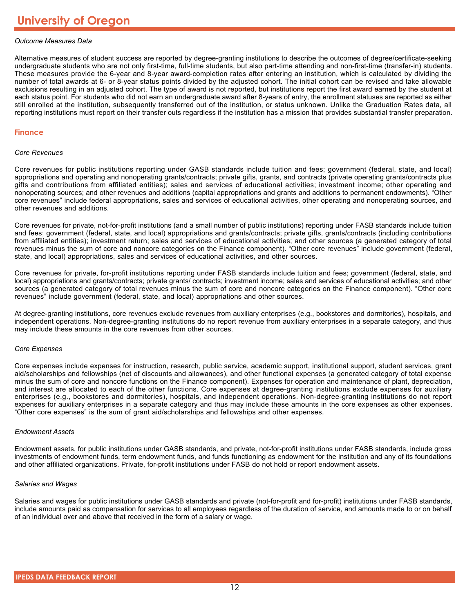#### *Outcome Measures Data*

Alternative measures of student success are reported by degree-granting institutions to describe the outcomes of degree/certificate-seeking undergraduate students who are not only first-time, full-time students, but also part-time attending and non-first-time (transfer-in) students. These measures provide the 6-year and 8-year award-completion rates after entering an institution, which is calculated by dividing the number of total awards at 6- or 8-year status points divided by the adjusted cohort. The initial cohort can be revised and take allowable exclusions resulting in an adjusted cohort. The type of award is not reported, but institutions report the first award earned by the student at each status point. For students who did not earn an undergraduate award after 8-years of entry, the enrollment statuses are reported as either still enrolled at the institution, subsequently transferred out of the institution, or status unknown. Unlike the Graduation Rates data, all reporting institutions must report on their transfer outs regardless if the institution has a mission that provides substantial transfer preparation.

#### **Finance**

#### *Core Revenues*

Core revenues for public institutions reporting under GASB standards include tuition and fees; government (federal, state, and local) appropriations and operating and nonoperating grants/contracts; private gifts, grants, and contracts (private operating grants/contracts plus gifts and contributions from affiliated entities); sales and services of educational activities; investment income; other operating and nonoperating sources; and other revenues and additions (capital appropriations and grants and additions to permanent endowments). "Other core revenues" include federal appropriations, sales and services of educational activities, other operating and nonoperating sources, and other revenues and additions.

Core revenues for private, not-for-profit institutions (and a small number of public institutions) reporting under FASB standards include tuition and fees; government (federal, state, and local) appropriations and grants/contracts; private gifts, grants/contracts (including contributions from affiliated entities); investment return; sales and services of educational activities; and other sources (a generated category of total revenues minus the sum of core and noncore categories on the Finance component). "Other core revenues" include government (federal, state, and local) appropriations, sales and services of educational activities, and other sources.

Core revenues for private, for-profit institutions reporting under FASB standards include tuition and fees; government (federal, state, and local) appropriations and grants/contracts; private grants/ contracts; investment income; sales and services of educational activities; and other sources (a generated category of total revenues minus the sum of core and noncore categories on the Finance component). "Other core revenues" include government (federal, state, and local) appropriations and other sources.

At degree-granting institutions, core revenues exclude revenues from auxiliary enterprises (e.g., bookstores and dormitories), hospitals, and independent operations. Non-degree-granting institutions do no report revenue from auxiliary enterprises in a separate category, and thus may include these amounts in the core revenues from other sources.

#### *Core Expenses*

Core expenses include expenses for instruction, research, public service, academic support, institutional support, student services, grant aid/scholarships and fellowships (net of discounts and allowances), and other functional expenses (a generated category of total expense minus the sum of core and noncore functions on the Finance component). Expenses for operation and maintenance of plant, depreciation, and interest are allocated to each of the other functions. Core expenses at degree-granting institutions exclude expenses for auxiliary enterprises (e.g., bookstores and dormitories), hospitals, and independent operations. Non-degree-granting institutions do not report expenses for auxiliary enterprises in a separate category and thus may include these amounts in the core expenses as other expenses. "Other core expenses" is the sum of grant aid/scholarships and fellowships and other expenses.

#### *Endowment Assets*

Endowment assets, for public institutions under GASB standards, and private, not-for-profit institutions under FASB standards, include gross investments of endowment funds, term endowment funds, and funds functioning as endowment for the institution and any of its foundations and other affiliated organizations. Private, for-profit institutions under FASB do not hold or report endowment assets.

#### *Salaries and Wages*

Salaries and wages for public institutions under GASB standards and private (not-for-profit and for-profit) institutions under FASB standards, include amounts paid as compensation for services to all employees regardless of the duration of service, and amounts made to or on behalf of an individual over and above that received in the form of a salary or wage.